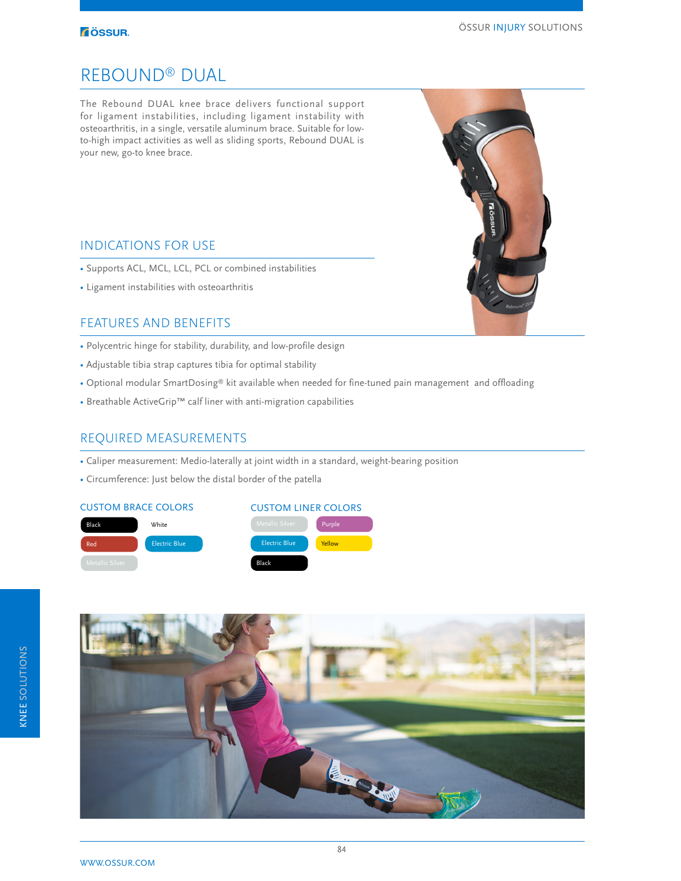### **TÖSSUR.**

## REBOUND® DUAL

The Rebound DUAL knee brace delivers functional support for ligament instabilities, including ligament instability with osteoarthritis, in a single, versatile aluminum brace. Suitable for lowto-high impact activities as well as sliding sports, Rebound DUAL is your new, go-to knee brace.

## INDICATIONS FOR USE

- Supports ACL, MCL, LCL, PCL or combined instabilities
- Ligament instabilities with osteoarthritis

## FEATURES AND BENEFITS

- Polycentric hinge for stability, durability, and low-profile design
- Adjustable tibia strap captures tibia for optimal stability
- Optional modular SmartDosing® kit available when needed for fine-tuned pain management and offloading
- Breathable ActiveGrip™ calf liner with anti-migration capabilities

### REQUIRED MEASUREMENTS

- Caliper measurement: Medio-laterally at joint width in a standard, weight-bearing position
- Circumference: Just below the distal border of the patella

### CUSTOM BRACE COLORS CUSTOM LINER COLORS